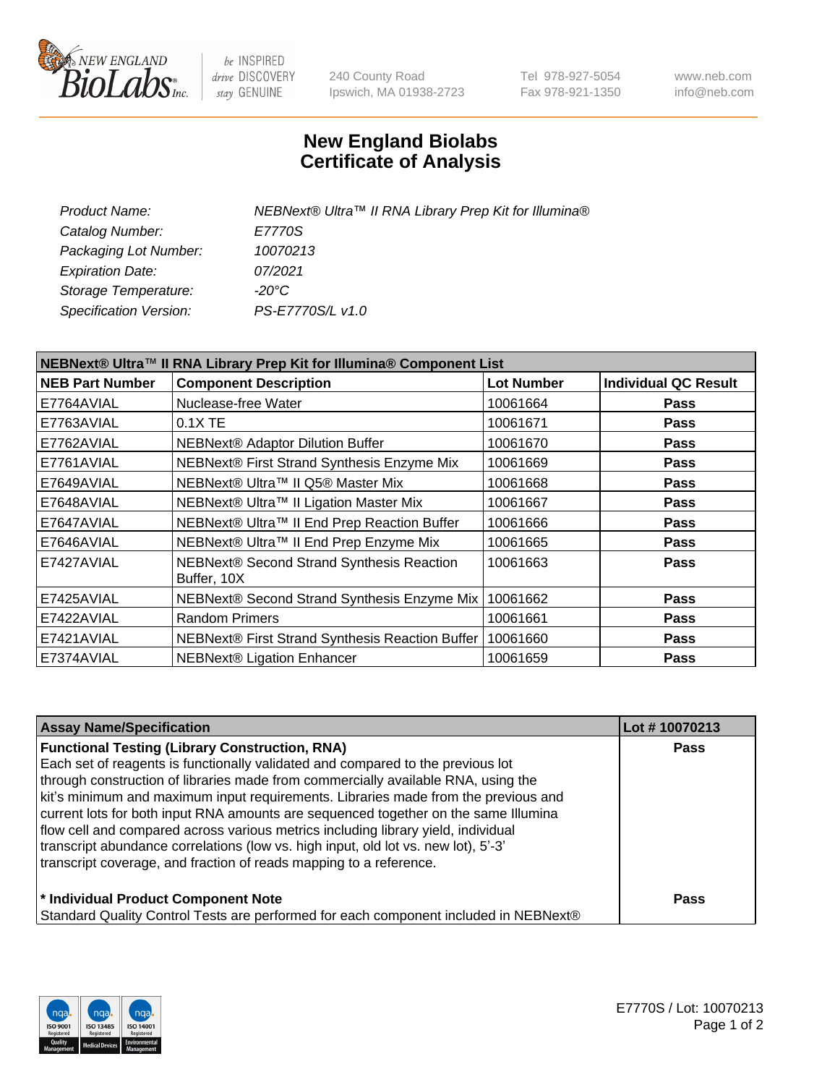

 $be$  INSPIRED drive DISCOVERY stay GENUINE

240 County Road Ipswich, MA 01938-2723 Tel 978-927-5054 Fax 978-921-1350 www.neb.com info@neb.com

## **New England Biolabs Certificate of Analysis**

| Product Name:           | NEBNext® Ultra™ II RNA Library Prep Kit for Illumina® |
|-------------------------|-------------------------------------------------------|
| Catalog Number:         | E7770S                                                |
| Packaging Lot Number:   | 10070213                                              |
| <b>Expiration Date:</b> | 07/2021                                               |
| Storage Temperature:    | -20°C                                                 |
| Specification Version:  | PS-E7770S/L v1.0                                      |

| NEBNext® Ultra™ II RNA Library Prep Kit for Illumina® Component List |                                                            |                   |                             |  |
|----------------------------------------------------------------------|------------------------------------------------------------|-------------------|-----------------------------|--|
| <b>NEB Part Number</b>                                               | <b>Component Description</b>                               | <b>Lot Number</b> | <b>Individual QC Result</b> |  |
| E7764AVIAL                                                           | Nuclease-free Water                                        | 10061664          | <b>Pass</b>                 |  |
| E7763AVIAL                                                           | $0.1X$ TE                                                  | 10061671          | <b>Pass</b>                 |  |
| E7762AVIAL                                                           | <b>NEBNext® Adaptor Dilution Buffer</b>                    | 10061670          | <b>Pass</b>                 |  |
| E7761AVIAL                                                           | NEBNext® First Strand Synthesis Enzyme Mix                 | 10061669          | <b>Pass</b>                 |  |
| E7649AVIAL                                                           | NEBNext® Ultra™ II Q5® Master Mix                          | 10061668          | <b>Pass</b>                 |  |
| E7648AVIAL                                                           | NEBNext® Ultra™ II Ligation Master Mix                     | 10061667          | <b>Pass</b>                 |  |
| E7647AVIAL                                                           | NEBNext® Ultra™ II End Prep Reaction Buffer                | 10061666          | <b>Pass</b>                 |  |
| E7646AVIAL                                                           | NEBNext® Ultra™ II End Prep Enzyme Mix                     | 10061665          | <b>Pass</b>                 |  |
| E7427AVIAL                                                           | NEBNext® Second Strand Synthesis Reaction<br>Buffer, 10X   | 10061663          | <b>Pass</b>                 |  |
| E7425AVIAL                                                           | NEBNext® Second Strand Synthesis Enzyme Mix                | 10061662          | <b>Pass</b>                 |  |
| E7422AVIAL                                                           | <b>Random Primers</b>                                      | 10061661          | <b>Pass</b>                 |  |
| E7421AVIAL                                                           | NEBNext® First Strand Synthesis Reaction Buffer   10061660 |                   | <b>Pass</b>                 |  |
| E7374AVIAL                                                           | NEBNext® Ligation Enhancer                                 | 10061659          | <b>Pass</b>                 |  |

| <b>Assay Name/Specification</b>                                                      | Lot #10070213 |
|--------------------------------------------------------------------------------------|---------------|
| <b>Functional Testing (Library Construction, RNA)</b>                                | Pass          |
| Each set of reagents is functionally validated and compared to the previous lot      |               |
| through construction of libraries made from commercially available RNA, using the    |               |
| kit's minimum and maximum input requirements. Libraries made from the previous and   |               |
| current lots for both input RNA amounts are sequenced together on the same Illumina  |               |
| flow cell and compared across various metrics including library yield, individual    |               |
| transcript abundance correlations (low vs. high input, old lot vs. new lot), 5'-3'   |               |
| transcript coverage, and fraction of reads mapping to a reference.                   |               |
| * Individual Product Component Note                                                  | Pass          |
| Standard Quality Control Tests are performed for each component included in NEBNext® |               |